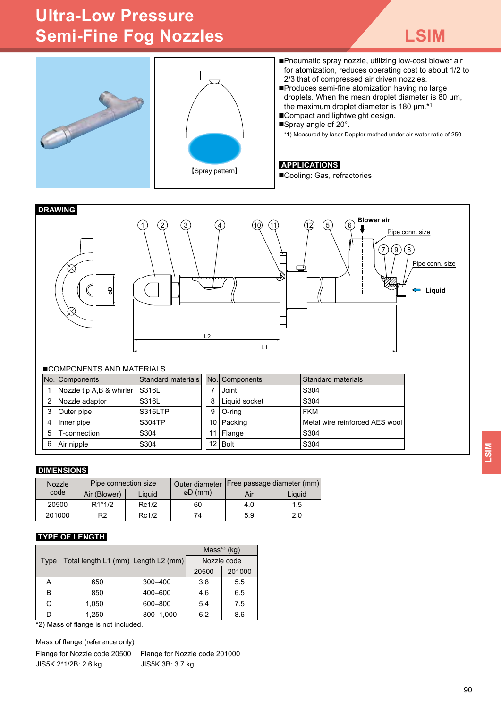# **Ultra-Low Pressure Semi-Fine Fog Nozzles LSIM**







- ■Pneumatic spray nozzle, utilizing low-cost blower air for atomization, reduces operating cost to about 1/2 to 2/3 that of compressed air driven nozzles.
- ■Produces semi-fine atomization having no large droplets. When the mean droplet diameter is 80 μm, the maximum droplet diameter is 180 μm.\*<sup>1</sup> ■Compact and lightweight design.
- ■Spray angle of 20°.
- 
- \*1) Measured by laser Doppler method under air-water ratio of 250

#### **APPLICATIONS**

■Cooling: Gas, refractories

# **DRAWING Blower air** 1) (2) (3) (4) (10) (11) (12) (5) (6 Pipe conn. size  $(7)(9)(8)$ Pipe conn. size гm **Liquid** øD  $\overline{12}$ L1

#### ■COMPONENTS AND MATERIALS

|   | No. Components           | Standard materials   No.   Components |   |               | Standard materials             |
|---|--------------------------|---------------------------------------|---|---------------|--------------------------------|
|   | Nozzle tip A,B & whirler | S316L                                 |   | Joint         | S304                           |
| 2 | Nozzle adaptor           | S316L                                 | 8 | Liquid socket | S304                           |
| 3 | Outer pipe               | S316LTP                               | 9 | O-ring        | <b>FKM</b>                     |
| 4 | Inner pipe               | S304TP                                |   | 10 Packing    | Metal wire reinforced AES wool |
| 5 | T-connection             | S304                                  |   | 11   Flange   | S304                           |
| 6 | Air nipple               | S304                                  |   | $12$ Bolt     | S304                           |

## **DIMENSIONS**

| <b>Nozzle</b> | Pipe connection size |        | Outer diameter | Free passage diameter (mm) |        |  |
|---------------|----------------------|--------|----------------|----------------------------|--------|--|
| code          | Air (Blower)         | Liquid | $ØD$ (mm)      | Air                        | Liauid |  |
| 20500         | $R1*1/2$             | Rc1/2  | 60             | 4.0                        | 1.5    |  |
| 201000        | R2                   | Rc1/2  | 74             | 5.9                        | 2.0    |  |

#### **TYPE OF LENGTH**

|      | Total length L1 (mm) Length L2 (mm) |           | Mass <sup>*2</sup> (kg) |        |  |
|------|-------------------------------------|-----------|-------------------------|--------|--|
| Type |                                     |           | Nozzle code             |        |  |
|      |                                     |           | 20500                   | 201000 |  |
| Α    | 650                                 | 300-400   | 3.8                     | 5.5    |  |
| B    | 850                                 | 400-600   | 4.6                     | 6.5    |  |
| С    | 1,050                               | 600-800   | 5.4                     | 7.5    |  |
| D    | 1,250                               | 800-1.000 | 6.2                     | 8.6    |  |

\*2) Mass of flange is not included.

Mass of flange (reference only)

| Flange for Nozzle code 20500 | Flange for Nozzle code 201000 |
|------------------------------|-------------------------------|
| JIS5K 2*1/2B: 2.6 kg         | JIS5K 3B: 3.7 kg              |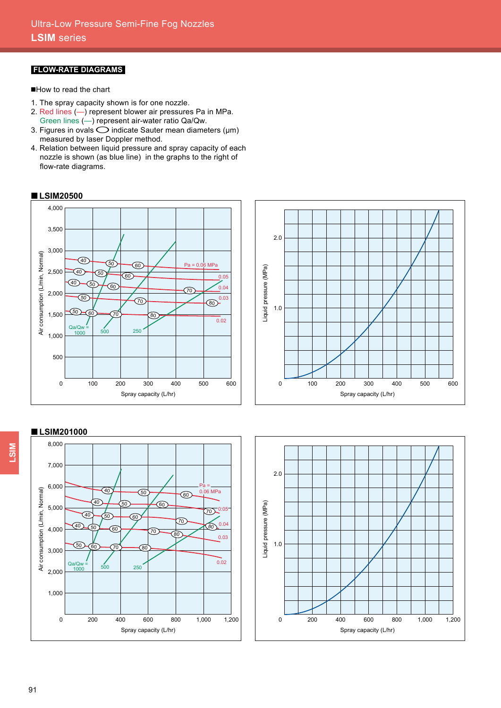# **FLOW-RATE DIAGRAMS**

■How to read the chart

- 1. The spray capacity shown is for one nozzle.
- 2. Red lines (–) represent blower air pressures Pa in MPa. Green lines (-) represent air-water ratio Qa/Qw.
- 3. Figures in ovals **○** indicate Sauter mean diameters (μm) measured by laser Doppler method.
- 4. Relation between liquid pressure and spray capacity of each nozzle is shown (as blue line) in the graphs to the right of flow-rate diagrams.

#### **■LSIM20500**





#### **■LSIM201000**





**LSIM**